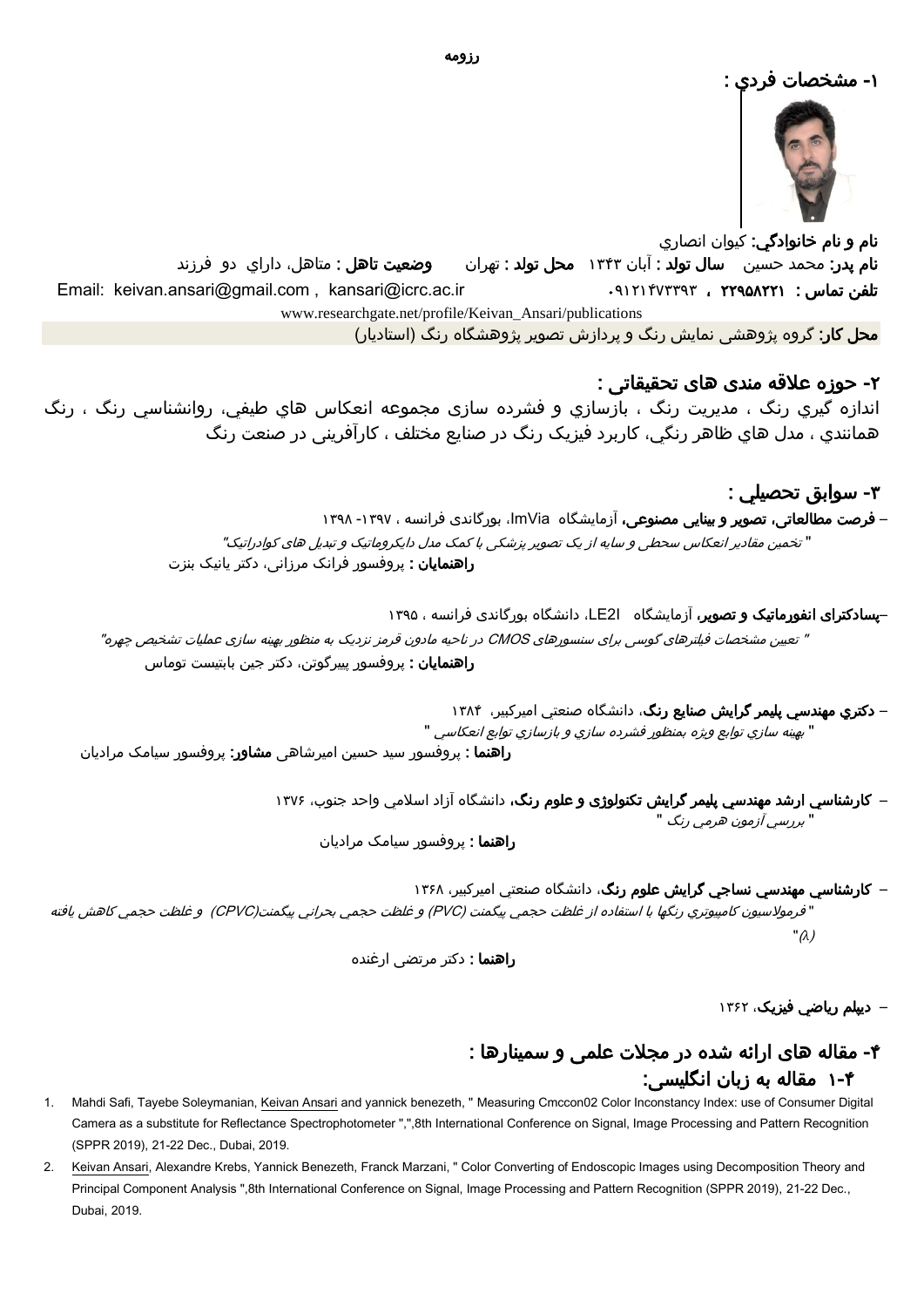

نام و نام خانوادگي: کيوان انصاري نام پدر: محمد حسين سال تولد : آبان 1131 محل تولد : تهران وضعيت تاهل : متاهل، داراي دو فرزند Email: keivan.ansari@gmail.com , [kansari@icrc.ac.ir](mailto:kansari@icrc.ac.ir) 32121311121 ، 22285221 : تماس تلفن [www.researchgate.net/profile/Keivan\\_Ansari/publications](https://www.researchgate.net/profile/Keivan_Ansari/publications) محل کار: گروه پژوهشی نمایش رنگ و پردازش تصویر پژوهشگاه رنگ )استادیار(

-2 حوزه عالقه مندی های تحقیقاتی :

اندازه گيري رنگ ، مديريت رنگ ، بازسازي و فشرده سازی مجموعه انعكاس هاي طيفي، روانشناسي رنگ ، رنگ همانندي ، مدل هاي ظاهر رنگي، کاربرد فیزیک رنگ در صنایع مختلف ، کارآفرینی در صنعت رنگ

> -1 سوابق تحصيلي : – <mark>فرصت مطالعاتی، تصویر و بینایی مصنوعی،</mark> آزمایشگاه ImVia، بورگاندی فرانسه ، ۱۳۹۷- ۱۳۹۸ " تخمین مقادیر انعکاس سحطی و سایه از یک تصویر پزشکی با کمک مدل دایکروماتیک و تبدیل های کوادراتیک" **راهنمایان :** پروفسور فرانک مرزانی، دکتر یانیک بنزت

–پسادکترای انفورماتیک و تصویر، آزمایشگاه I2LE، دانشگاه بورگاندی فرانسه ، 1128 " تعیین مشخصات فیلترهای گوسی برای سنسورهای CMOS در ناحیه مادون قرمز نزدیک به منظور بهینه سازی عملیات تشخیص چهره" **راهنمایان :** پروفسور پییرگوتن، دکتر جین بابتیست توماس

> – دكتري مهندسي پليمر گرايش صنایع رنگ، دانشگاه صنعتي اميركبير، 1153 <sup>י</sup> بهينه سازي توابع ويژه بمنظور فشرده سازي و بازسازي توابع انعکاسي "

**راهنما** : پروفسور سید حسین امیرشاهی **مشاور**: پروفسور سیامک مرادیان

– کارشناسي ارشد مهندسي پليمر گرايش تکنولوژی و علوم رنگ، دانشگاه آزاد اسالمي واحد جنوب، 1111

" بررسي آزمون هرمي رنگ "

راهنما : پروفسور سیامک مرادیان

– کارشناسي مهندسي نساجي گرايش علوم رنگ، دانشگاه صنعتي اميركبير، 1115

" فرموالسيون کامپيوتري رنگها با استفاده از غلظت حجمي پيگمنت (PVC (و غلظت حجمي بحراني پيگمنت(CPVC (و غلظت حجمي کاهش يافته "(*λ*)

راهنما : دکتر مرتضی ارغنده

– **دیپلم ریاضي فیزیک**، ۱۳۶۲

## -3 مقاله های ارائه شده در مجالت علمی و سمینارها : 1-3 مقاله به زبان انگلیسی:

- 1. Mahdi Safi, Tayebe Soleymanian, Keivan Ansari and yannick benezeth, "Measuring Cmccon02 Color Inconstancy Index: use of Consumer Digital Camera as a substitute for Reflectance Spectrophotometer ",",8th International Conference on Signal, Image Processing and Pattern Recognition (SPPR 2019), 21-22 Dec., Dubai, 2019.
- 2. Keivan Ansari, Alexandre Krebs, Yannick Benezeth, Franck Marzani, " Color Converting of Endoscopic Images using Decomposition Theory and Principal Component Analysis ",8th International Conference on Signal, Image Processing and Pattern Recognition (SPPR 2019), 21-22 Dec., Dubai, 2019.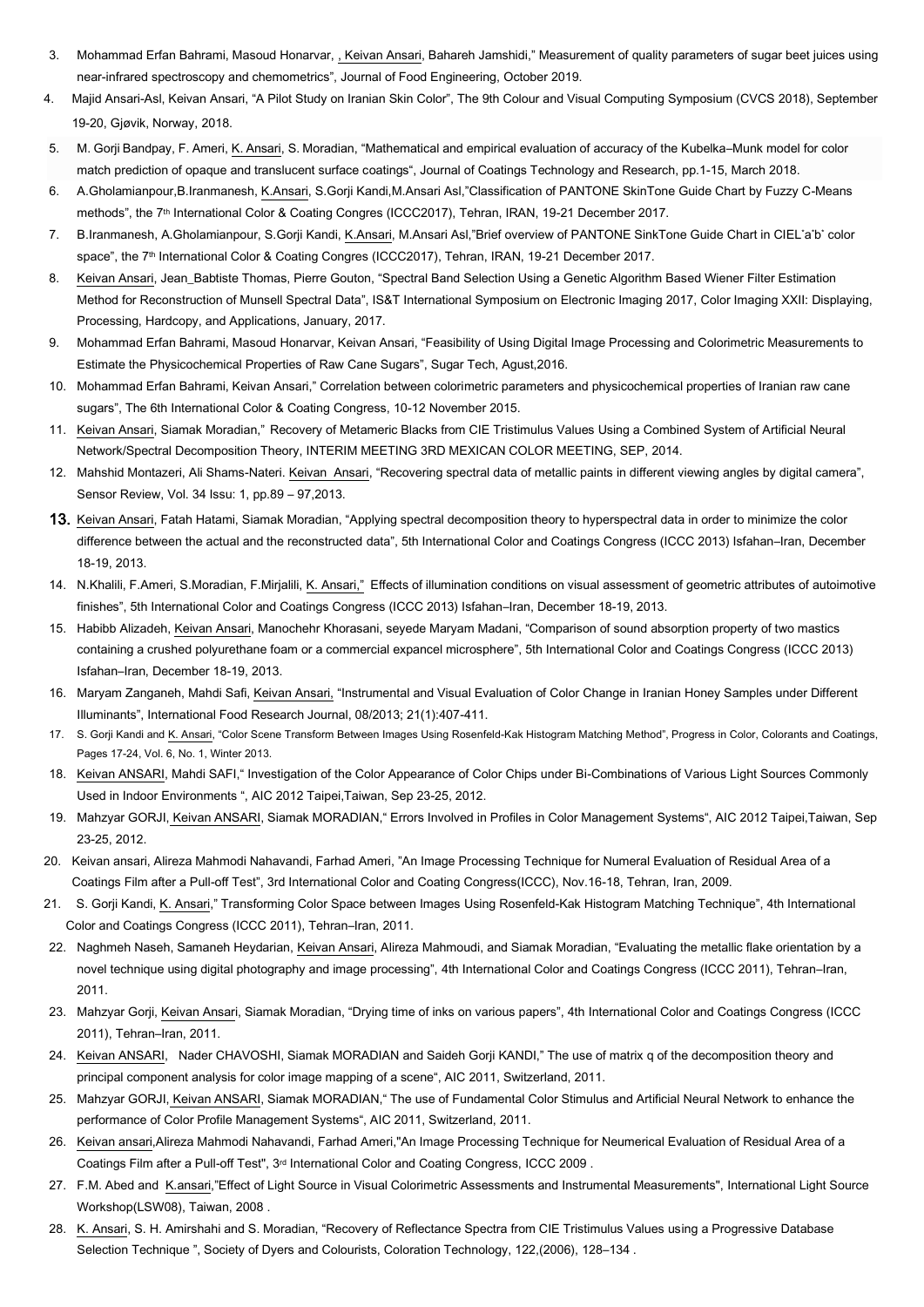- 3. Mohammad Erfan Bahrami, Masoud Honarvar, , Keivan Ansari, Bahareh Jamshidi," Measurement of quality parameters of sugar beet juices using near-infrared spectroscopy and chemometrics", Journal of Food Engineering, October 2019.
- 4. Majid Ansari-Asl, Keivan Ansari, "A Pilot Study on Iranian Skin Color", The 9th Colour and Visual Computing Symposium (CVCS 2018), September 19-20, Gjøvik, Norway, 2018.
- 5. M. Gorji Bandpay, F. Ameri, K. Ansari, S. Moradian, "Mathematical and empirical evaluation of accuracy of the Kubelka–Munk model for color match prediction of opaque and translucent surface coatings", [Journal of Coatings Technology and Research,](https://link.springer.com/journal/11998) pp.1-15, March 2018.
- 6. A.Gholamianpour,B.Iranmanesh, K.Ansari, S.Gorji Kandi,M.Ansari Asl,"Classification of PANTONE SkinTone Guide Chart by Fuzzy C-Means methods", the 7<sup>th</sup> International Color & Coating Congres (ICCC2017), Tehran, IRAN, 19-21 December 2017.
- 7. B.Iranmanesh, A.Gholamianpour, S.Gorji Kandi, K.Ansari, M.Ansari Asl,"Brief overview of PANTONE SinkTone Guide Chart in CIEL\*a\*b\* color space", the 7<sup>th</sup> International Color & Coating Congres (ICCC2017), Tehran, IRAN, 19-21 December 2017.
- 8. Keivan Ansari, Jean\_Babtiste Thomas, Pierre Gouton, "Spectral Band Selection Using a Genetic Algorithm Based Wiener Filter Estimation Method for Reconstruction of Munsell Spectral Data", IS&T International Symposium on Electronic Imaging 2017, Color Imaging XXII: Displaying, Processing, Hardcopy, and Applications, January, 2017.
- 9. Mohammad Erfan Bahrami, Masoud Honarvar, Keivan Ansari, "Feasibility of Using Digital Image Processing and Colorimetric Measurements to Estimate the Physicochemical Properties of Raw Cane Sugars", Sugar Tech, Agust,2016.
- 10. Mohammad Erfan Bahrami, Keivan Ansari," Correlation between colorimetric parameters and physicochemical properties of Iranian raw cane sugars", The 6th International Color & Coating Congress, 10-12 November 2015.
- 11. Keivan Ansari, Siamak Moradian," Recovery of Metameric Blacks from CIE Tristimulus Values Using a Combined System of Artificial Neural Network/Spectral Decomposition Theory, INTERIM MEETING 3RD MEXICAN COLOR MEETING, SEP, 2014.
- 12. Mahshid Montazeri, Ali Shams-Nateri. Keivan Ansari, "Recovering spectral data of metallic paints in different viewing angles by digital camera", Sensor Review, Vol. 34 Issu: 1, pp.89 – 97,2013.
- 13. Keivan Ansari, Fatah Hatami, Siamak Moradian, "Applying spectral decomposition theory to hyperspectral data in order to minimize the color difference between the actual and the reconstructed data", 5th International Color and Coatings Congress (ICCC 2013) Isfahan–Iran, December 18-19, 2013.
- 14. N.Khalili, F.Ameri, S.Moradian, F.Mirjalili, K. Ansari," Effects of illumination conditions on visual assessment of geometric attributes of autoimotive finishes", 5th International Color and Coatings Congress (ICCC 2013) Isfahan–Iran, December 18-19, 2013.
- 15. Habibb Alizadeh, Keivan Ansari, Manochehr Khorasani, seyede Maryam Madani, "Comparison of sound absorption property of two mastics containing a crushed polyurethane foam or a commercial expancel microsphere", 5th International Color and Coatings Congress (ICCC 2013) Isfahan–Iran, December 18-19, 2013.
- 16. Maryam Zanganeh, Mahdi Safi, Keivan Ansari, "Instrumental and Visual Evaluation of Color Change in Iranian Honey Samples under Different Illuminants", International Food Research Journal, 08/2013; 21(1):407-411.
- 17. S. Gorji Kandi and K. Ansari, "Color Scene Transform Between Images Using Rosenfeld-Kak Histogram Matching Method", Progress in Color, Colorants and Coatings, Pages 17-24, Vol. 6, No. 1, Winter 2013.
- 18. Keivan ANSARI, Mahdi SAFI," Investigation of the Color Appearance of Color Chips under Bi-Combinations of Various Light Sources Commonly Used in Indoor Environments ", AIC 2012 Taipei,Taiwan, Sep 23-25, 2012.
- 19. Mahzyar GORJI, Keivan ANSARI, Siamak MORADIAN," Errors Involved in Profiles in Color Management Systems", AIC 2012 Taipei,Taiwan, Sep 23-25, 2012.
- 20. Keivan ansari, Alireza Mahmodi Nahavandi, Farhad Ameri, "An Image Processing Technique for Numeral Evaluation of Residual Area of a Coatings Film after a Pull-off Test", 3rd International Color and Coating Congress(ICCC), Nov.16-18, Tehran, Iran, 2009.
- 21. S. Gorji Kandi, K. Ansari," Transforming Color Space between Images Using Rosenfeld-Kak Histogram Matching Technique", 4th International Color and Coatings Congress (ICCC 2011), Tehran–Iran, 2011.
- 22. Naghmeh Naseh, Samaneh Heydarian, Keivan Ansari, Alireza Mahmoudi, and Siamak Moradian, "Evaluating the metallic flake orientation by a novel technique using digital photography and image processing", 4th International Color and Coatings Congress (ICCC 2011), Tehran–Iran, 2011.
- 23. Mahzyar Gorji, Keivan Ansari, Siamak Moradian, "Drying time of inks on various papers", 4th International Color and Coatings Congress (ICCC 2011), Tehran–Iran, 2011.
- 24. Keivan ANSARI, Nader CHAVOSHI, Siamak MORADIAN and Saideh Gorji KANDI," The use of matrix q of the decomposition theory and principal component analysis for color image mapping of a scene", AIC 2011, Switzerland, 2011.
- 25. Mahzyar GORJI, Keivan ANSARI, Siamak MORADIAN," The use of Fundamental Color Stimulus and Artificial Neural Network to enhance the performance of Color Profile Management Systems", AIC 2011, Switzerland, 2011.
- 26. Keivan ansari,Alireza Mahmodi Nahavandi, Farhad Ameri,"An Image Processing Technique for Neumerical Evaluation of Residual Area of a Coatings Film after a Pull-off Test", 3rd International Color and Coating Congress, ICCC 2009 .
- 27. F.M. Abed and K.ansari,"Effect of Light Source in Visual Colorimetric Assessments and Instrumental Measurements", International Light Source Workshop(LSW08), Taiwan, 2008 .
- 28. K. Ansari, S. H. Amirshahi and S. Moradian, "Recovery of Reflectance Spectra from CIE Tristimulus Values using a Progressive Database Selection Technique ", Society of Dyers and Colourists, Coloration Technology, 122,(2006), 128–134 .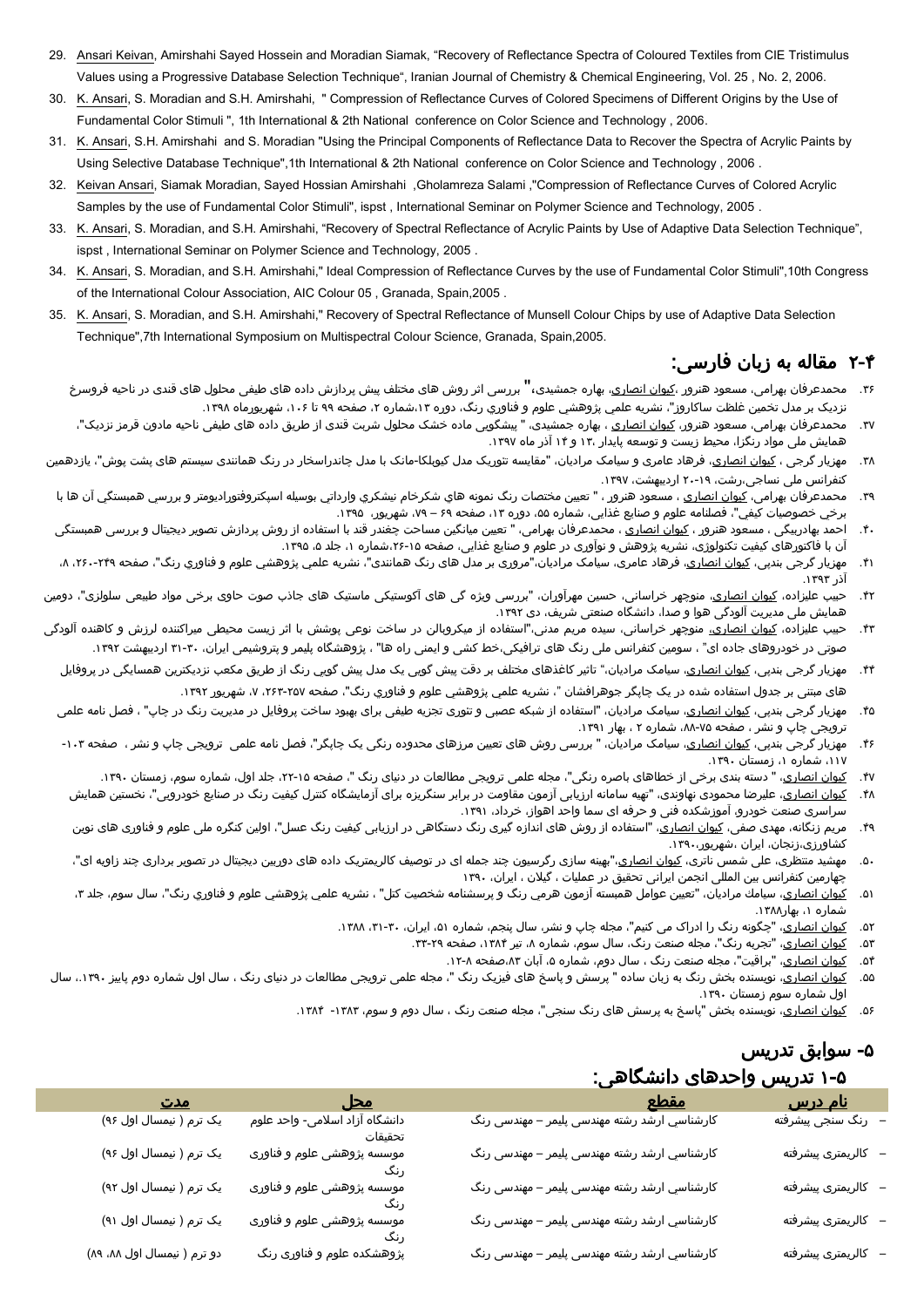- 29. Ansari Keivan, Amirshahi Sayed Hossein and Moradian Siamak, "Recovery of Reflectance Spectra of Coloured Textiles from CIE Tristimulus Values using a Progressive Database Selection Technique", Iranian Journal of Chemistry & Chemical Engineering, Vol. 25 , No. 2, 2006.
- 30. K. Ansari, S. Moradian and S.H. Amirshahi, " Compression of Reflectance Curves of Colored Specimens of Different Origins by the Use of Fundamental Color Stimuli ", 1th International & 2th National conference on Color Science and Technology , 2006.
- 31. K. Ansari, S.H. Amirshahi and S. Moradian "Using the Principal Components of Reflectance Data to Recover the Spectra of Acrylic Paints by Using Selective Database Technique",1th International & 2th National conference on Color Science and Technology , 2006 .
- 32. Keivan Ansari, Siamak Moradian, Sayed Hossian Amirshahi ,Gholamreza Salami ,"Compression of Reflectance Curves of Colored Acrylic Samples by the use of Fundamental Color Stimuli", ispst , International Seminar on Polymer Science and Technology, 2005 .
- 33. K. Ansari, S. Moradian, and S.H. Amirshahi, "Recovery of Spectral Reflectance of Acrylic Paints by Use of Adaptive Data Selection Technique", ispst , International Seminar on Polymer Science and Technology, 2005 .
- 34. K. Ansari, S. Moradian, and S.H. Amirshahi," Ideal Compression of Reflectance Curves by the use of Fundamental Color Stimuli",10th Congress of the International Colour Association, AIC Colour 05 , Granada, Spain,2005 .
- 35. K. Ansari, S. Moradian, and S.H. Amirshahi," Recovery of Spectral Reflectance of Munsell Colour Chips by use of Adaptive Data Selection Technique",7th International Symposium on Multispectral Colour Science, Granada, Spain,2005.

## 2-3 مقاله به زبان فارسی:

- ۳۶. محمدعرفان بهرامی، مسعود هنرور ،<u>کیوان انصاری</u>، بهاره جمشیدی،" بررسی اثر روش های مختلف پیش پردازش داده های طیفی محلول های قندی در ناحیه فروسرخ نزديک بر مدل تخمین غلظت ساکاروز"، نشريه علمي پژوهشي علوم و فناوري رنگ، دوره ۱۳،شماره ۲، صفحه ۹۹ تا ۱۰۶، شهریورماه ۱۳۹۸.
- .<br>۳۷ محمدعرفان بهرامی، مسعود هنرور، <u>کیوان انصاری</u> ، بهاره جمشیدی، " پیشگویی ماده خشک محلول شربت قندی از طریق داده های طیفی ناحیه مادون قرمز نزدیک"، همایش ملی مواد رنگزا، محیط زیست و توسعه پایدار ۱۳۰ و ۱۴ آذر ماه ۱۳۹۷.
- ۳۸ مهزیار گرجی ، <u>کیوان انصاری</u>، فرهاد عامری و سیامک مرادیان، "مقایسه تئوریک مدل کیوبلکا-مانک با مدل چاندراسخار در رنگ همانندی سیستم های پشت پوش"، یازدهمین کنفرانس ملی نساجی،رشت، ۱۹-۲۰ اردیبهشت، ۱۳۹۷.
- ٣٩. محمدعرفان بهرامی، <u>کیوان انصاری</u> ، مسعود هنرور ، " تعیین مختصات رنگ نمونه هاي شكرخام نيشكري وارداتي بوسيله اسپكتروفتوراديومتر و بررسي همبستگي آن ها با برخي خصوصيات كيفي"، فصلنامه علوم و صنایع غذایی، شماره ۵۵، دوره ۱۳، صفحه ۶۹ – ۷۹، شهریور، ۱۳۹۵.
- .۴. احمد بهادربیگی ، مسعود هنرور ، <u>کیوان انصاری</u> ، محمدعرفان بهرامی، " تعیین میانگین مساحت چغندر قند با استفاده از روش پردازش تصویر دیجیتال و بررسی همبستگی آن با فاکتورهای کیفیت تکنولوژی، نشریه پژوهش و نوآوری در علوم و صنایع غذایی، صفحه ۱۵-۲۶،شماره ۱، جلد ۵، ۱۳۹۵.
- ۴۱. مهزیار گرجی بندپی، <u>کیوان انصاری</u>، فرهاد عامری، سیامک مرادیان،"مروری بر مدل های رنگ همانندی"، نشریه علمی پژوهشي علوم و فناوري رنگ"، صفحه ۲۹۹-۲۶۰، ۸، آذر ۱۳۹۳.
- ۴۲. حبیب علیزاده، <u>کیوان انصاری</u>، منوچهر خراسانی، حسین مهرآوران، "بررسی ویژه گی های آکوستیکی ماستیک های جاذب صوت حاوی برخی مواد طبیعی سلولزی"، دومین همایش ملی مدیریت آلودگی هوا و صدا، دانشگاه صنعتی شریف، دی ۱۳۹۲.
- ۴۴. حبیب علیزاده، <u>کیوان انصاری،</u> منوچهر خراسانی، سیده مریم مدنی،"استفاده از میکروبالن در ساخت نوعی پوشش با اثر زیست محیطی میراکننده لرزش و کاهنده آلودگی صوتی در خودروهای جاده ای" ، سومین کنفرانس ملی رنگ های ترافیکی،خط کشی و ایمنی راه ها" ، پژوهشگاه پلیمر و پتروشیمی ایران، ۳۰-۳۱ اردیبهشت ۱۳۹۲.
	- ۴۴. مهزیار گرجی بندپی، <u>کیوان انصاری</u>، سیامک مرادیان،" تاثیر کاغذهای مختلف بر دقت پیش گویی یک می از کاریق مکعب نزدیکترین همسایگی در پروفایل های مبتنی بر جدول استفاده شده در یک چاپگر جوهرافشان "، نشريه علمي پژوهشي علوم و فناوري رنگ"، صفحه ،211-281 ،1 شهریور .1122
	- ۴۵. مهزیار گرجی بندپی، <u>کیوان انصاری</u>، سیامک مرادیان، "استفاده از شبکه عصبی و تئوری تجزیه طیفی برای بهبود ساخت پروفایل در مدیریت رنگ در چاپ" ، فصل نامه علمی ترویجی چاپ و نشر ، صفحه ۷۵-۸۸، شماره ۲ ، بهار ۱۳۹۱.
	- ۴۶. مهزیار گرجی بندپی، <u>کیوان انصاری</u>، سیامک مرادیان، " بررسی روش های تعیین مرزهای محدوده رنگی یک چاپگر"، فصل نامه علمی ترویجی چاپ و نشر ، صفحه ۱۰۳-،111 شماره ،1 زمستان .1123
		- .<br>۴۷. ک<u>یوان انصاری</u>، " دسته بندی برخی از خطاهای باصره رنگی"، مجله علمی ترویجی مطالعات در دنیای رنگ "، صفحه ۱۵-۲۲، جلد اول، شماره سوم، زمستان ۱۳۹۰.
	- ۴۸. ک<u>یوان انصاری</u>، علیرضا محمودی نهاوندی، "تهیه سامانه ارزیابی آزمون مقاومت در برابر سنگریزه برای آزمایشگاه کنترل کیفیت رنگ در صنایع خودرویی"، نخستین همایش سراسری صنعت خودرو، آموزشکده فنی و حرفه ای سما واحد اهواز، خرداد، ۱۳۹۱.
	- ۴۹. مریم زنگانه، مهدی صفی، <u>کیوان انصاری</u>، "استفاده از روش های اندازه گیری رنگ دستگاهی در ارزیابی کیفیت رنگ عسل"، اولین کنگره ملی علوم و فناوری های نوین کشاورزی،زنجان، ایران ،شهریور.1123،
	- ۵۰. مهشید منتظری، علی شمس ناتری، <u>کیوان انصاری</u>،"بهینه سازی رگرسیون چند جمله ای در توصیف کالریمتریک داده های دوربین دیجیتال در تصویر برداری چند زاویه ای"، چهارمین کنفرانس بین المللی انجمن ایرانی تحقیق در عملیات ، گیالن ، ایران، 1123
	- ۵۱. <u>كيوان انصاري</u>، سيامك مراديان، "تعيين عوامل همبسته آزمون هرمي رنگ و پرسشنامه شخصيت كتل" ، نشريه علمي پژوهشي علوم و فناوري رنگ"، سال سوم، جلد ۳، شماره ۱، بهار۱۳۸۸.
		- ۵۲. ک<u>یوان انصاری</u>، "چگونه رنگ را ادراک می کنیم"، مجله چاپ و نشر، سال پنجم، شماره ۵۱، ایران، ۳۰-۳۱، ۱۳۸۸.
			- ۵۳. ک<u>یوان انصاری</u>، "تجربه رنگ"، مجله صنعت رنگ، سال سوم، شماره ۸، تیر ۱۳۸۴، صفحه ۲۹-۳۳.
				- ۵۴. کی<u>وان انصاری</u>، "براقیت"، مجله صنعت رنگ ، سال دوم، شماره ۵، آبان ۸۳*،*صفحه ۱۲-۱۲.
- ۵۵. <u>کیوان انصاری</u>، نویسنده بخش رنگ به زبان ساده " پرسش و پاسخ های فیزیک رنگ "، مجله علمی ترویجی مطالعات در دنیای رنگ ، سال اول شماره دوم پاییز ۱۳۹۰، سال اول شماره سوم زمستان .1123
	- ۰۵۶ <sub>.</sub> <u>کیوان انصاری</u>، نویسنده بخش "پاسخ به پرسش های رنگ سنجی"، مجله صنعت رنگ ، سال دوم و سوم، ۱۳۸۳- ۱۳۸۴.

# -8 سوابق تدريس

# 1-8 تدريس واحدهای دانشگاهی:

| مدت                         | <u>محل</u>                                | <u>مقطع</u>                                  |                                              |
|-----------------------------|-------------------------------------------|----------------------------------------------|----------------------------------------------|
| یک ترم ( نیمسال اول ۹۶)     | دانشگاه آزاد اسلامی- واحد علوم<br>تحقيقات | کارشناسي ارشد رشته مهندسی پلیمر – مهندسی رنگ | <mark>نام درس</mark><br>–   رنگ سنجی پیشرفته |
| یک ترم ( نیمسال اول ۹۶)     | موسسه پژوهشی علوم و فناوری                | کارشناسي ارشد رشته مهندسی پلیمر – مهندسی رنگ | كالريمترى پيشرفته                            |
| یک ترم ( نیمسال اول ۹۲)     | موسسه پژوهشی علوم و فناوری                | کارشناسي ارشد رشته مهندسی پلیمر – مهندسی رنگ | – كالريمترى پيشرفته                          |
| یک ترم ( نیمسال اول ۹۱)     | موسسه پژوهشی علوم و فناوری                | کارشناسي ارشد رشته مهندسی پلیمر – مهندسی رنگ | – كالريمترى پيشرفته                          |
| دو ترم ( نیمسال اول ۸۸، ۸۹) | پژوهشکده علوم و فناوری رنگ                | کارشناسي ارشد رشته مهندسی پلیمر – مهندسی رنگ | – كالريمترى پيشرفته                          |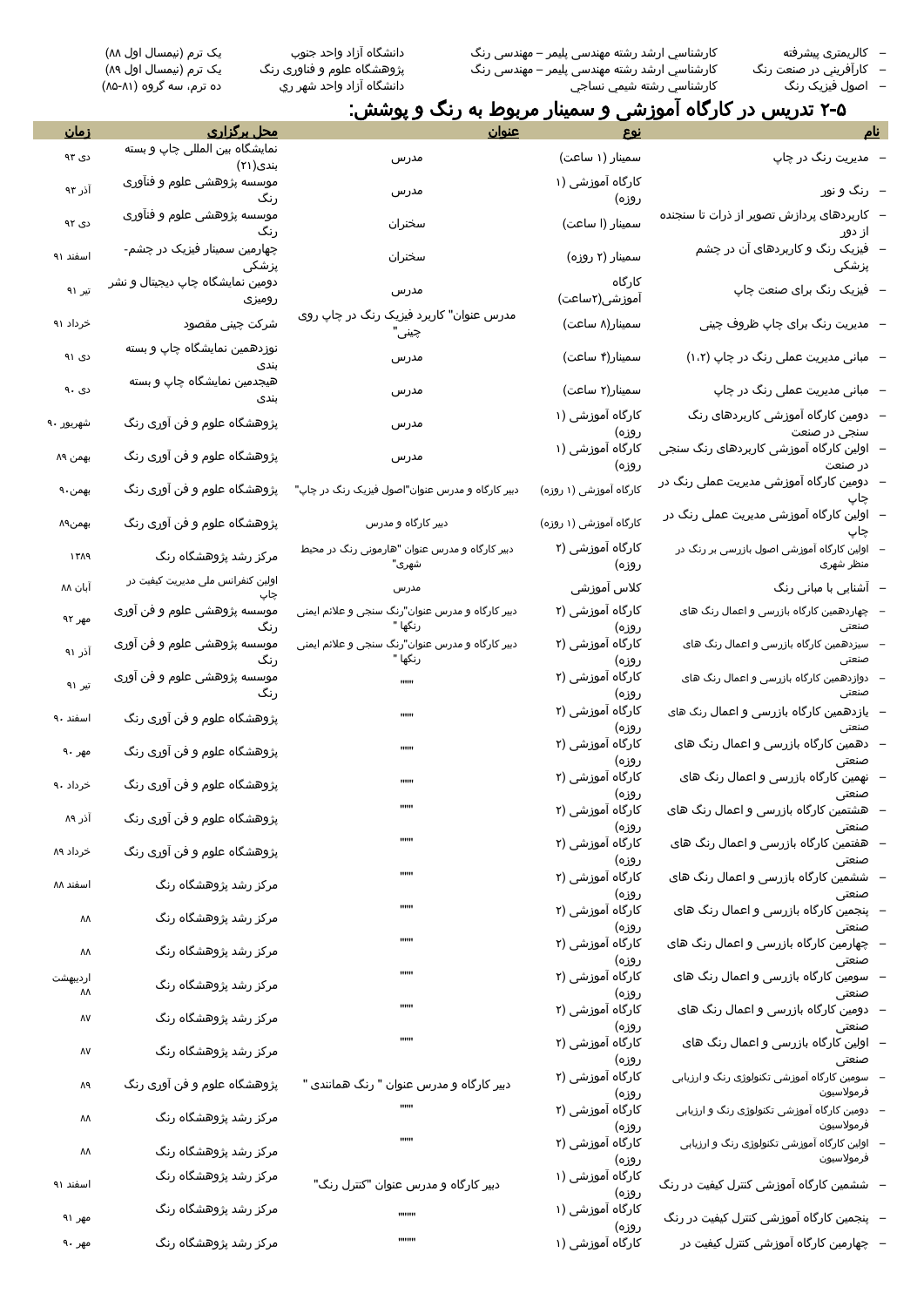– کالریمتری پیشرفته كارشناسي ارشد رشته مهندسی پلیمر – مهندسی رنگ دانشگاه آزاد واحد جنوب یک ترم )نیمسال اول 55( – كارآفريني در صنعت رنگ كارشناسي ارشد رشته مهندسی پلیمر – مهندسی رنگ پژوهشگاه علوم و فناوری رنگ یک ترم )نیمسال اول 52( – اصول فيزيک رنگ كارشناسي رشته شيمي نساجي دانشگاه آزاد واحد شهر ري ده ترم، سه گروه )58-51(

# 2-8 تدريس در کارگاه آموزشی و سمینار مربوط به رنگ و پوشش:

|                                                          | <u>نوع</u>                      | عنوان                                                      | محل پرگزاری                                | <u>زمان</u> |
|----------------------------------------------------------|---------------------------------|------------------------------------------------------------|--------------------------------------------|-------------|
| مدیریت رنگ در چاپ                                        | سمینار (۱ ساعت)                 | مدرس                                                       | نمایشگاه بین المللی چاپ و بسته<br>بندی(۲۱) | دی ۹۳       |
| رنگ و نور                                                | کارگاه آموزشی (۱                | مدرس                                                       | موسسه پژوهشی علوم و فنآوری<br>رنگ          | آذر ۹۳      |
| کاربردهای پردازش تصویر از ذرات تا سنجنده                 | روزه)<br>سمینار (ا ساعت)        | سخنران                                                     | موسسه پژوهشی علوم و فنآوری                 | دی ۹۲       |
| از دور<br>فیزیک رنگ و کاربردهای آن در چشم                | سمینار (۲ روزه)                 | سخنران                                                     | ر نگ<br>چهارمین سمینار فیزیک در چشم-       | اسفند ۹۱    |
| پزشکی<br>-  فیزیک رنگ برای صنعت چاپ                      | کارگاہ                          | مدرس                                                       | يزشكى<br>دومین نمایشگاه چاپ دیجیتال و نشر  | تیر ۹۱      |
| مدیریت رنگ برای چاپ ظروف چینی                            | آموزشی(۲ساعت)<br>سمینار(۸ ساعت) | مدرس عنوان" کاربرد فیزیک رنگ در چاپ روی                    | روميزى<br>شرکت چینی مقصود                  | خرداد ۹۱    |
|                                                          |                                 | چىنى                                                       | نوزدهمین نمایشگاه چاپ و بسته               |             |
| مبانی مدیریت عملی رنگ در چاپ (۱،۲)                       | سمینار(۴ ساعت)                  | مدرس                                                       | بندى<br>هیجدمین نمایشگاه چاپ و بسته        | دی ۹۱       |
| سانی مدیریت عملی رنگ در چاپ                              | سمینار(۲ ساعت)                  | مدرس                                                       | بندى                                       | دی ۹۰       |
| دومین کارگاه آموزشی کاربردهای رنگ<br>سنجی در صنعت        | کارگاه آموزشی (۱<br>روزه)       | مدرس                                                       | پژوهشگاه علوم و فن آوری رنگ                | شهريور ۹۰   |
| اولین کارگاه آموزشی کاربردهای رنگ سنجی<br>در صنعت        | کارگاه آموزشی (۱<br>روزه)       | مدرس                                                       | پژوهشگاه علوم و فن آوری رنگ                | بهمن ۸۹     |
| دومین کارگاه آموزشی مدیریت عملی رنگ در<br>چاپ            | کارگاه آموزشی (۱ روزه)          | دبیر کارگاه و مدرس عنوان"اصول فیزیک رنگ در چاپ"            | پژوهشگاه علوم و فن آوری رنگ                | بهمن ۹۰     |
| اولین کارگاه آموزشی مدیریت عملی رنگ در<br>چاپ            | کارگاه آموزشی (۱ روزه)          | دبیر کارگاه و مدرس                                         | پژوهشگاه علوم و فن آوری رنگ                | بهمن۸۹      |
| اولین کارگاه آموزشی اصول بازرسی بر رنگ در<br>منظر شهری   | کارگاه آموزشی (۲<br>روزه)       | دبیر کارگاه و مدرس عنوان "هارمونی رنگ در محیط<br>شهری"     | مرکز رشد پژوهشگاه رنگ                      | ۱۳۸۹        |
| آشنایی با مبانی رنگ                                      | كلاس آموزشى                     | مدرس                                                       | اولین کنفرانس ملی مدیریت کیفیت در<br>چاپ   | آبان ۸۸     |
| چهاردهمین کارگاه بازرسی و اعمال رنگ های<br>صنعتى         | کارگاه آموزشی (۲<br>روزه)       | دبیر کارگاه و مدرس عنوان"رنگ سنجی و علائم ایمنی<br>رنگها " | موسسه پژوهشی علوم و فن آوری<br>رنگ         | مهر ۹۲      |
| سیزدهمین کارگاه بازرسی و اعمال رنگ های<br>صنعتى          | کارگاه آموزشی (۲<br>روزه)       | دبیر کارگاه و مدرس عنوان"رنگ سنجی و علائم ایمنی<br>رنگها " | موسسه پژوهشی علوم و فن آوری<br>ر نگ        | آذر ۹۱      |
| دوازدهمین کارگاه بازرسی و اعمال رنگ های<br>صنعتى         | کارگاه آموزشی (۲<br>روزه)       | $\mathbf{m}\mathbf{u}$                                     | موسسه پژوهشی علوم و فن آوری                | تیر ۹۱      |
| یازدهمین کارگاه بازرسی و اعمال رنگ های<br>صنعتى          | کارگاه آموزشی (۲<br>روزه)       | ,,,,,,                                                     | پژوهشگاه علوم و فن آوری رنگ                | اسفند ۹۰    |
| دهمین کارگاه بازرسی و اعمال رنگ های<br>صنعتى             | کارگاه آموزشی (۲                | ,,,,,,                                                     | پژوهشگاه علوم و فن آوری رنگ                | مهر ۹۰      |
| نهمین کارگاه بازرسی و اعمال رنگ های                      | روزه)<br>کارگاه آموزشی (۲       | ,,,,,,                                                     | پژوهشگاه علوم و فن آوری رنگ                | خرداد ۹۰    |
| صنعتى<br>هشتمین کارگاه بازرسی و اعمال رنگ های            | روزه)<br>کارگاه آموزشی (۲       |                                                            | پژوهشگاه علوم و فن آوری رنگ                | آذر ۸۹      |
| صنعتى<br>هفتمین کارگاه بازرسی و اعمال رنگ های            | روزه)<br>کارگاه آموزشی (۲       |                                                            | پژوهشگاه علوم و فن آوری رنگ                | خرداد ۸۹    |
| صنعتى<br>ششمین کارگاه بازرسی و اعمال رنگ های             | روزه)<br>کارگاه آموزشی (۲       |                                                            | مرکز رشد پژوهشگاه رنگ                      | اسفند ۸۸    |
| صنعتى<br>پنجمین کارگاه بازرسی و اعمال رنگ های            | روزه)<br>کارگاه آموزشی (۲       |                                                            | مرکز رشد پژوهشگاه رنگ                      | ۸Λ          |
| صنعتى<br>چهارمین کارگاه بازرسی و اعمال رنگ های           | روزه)<br>کارگاه آموزشی (۲       |                                                            | مرکز رشد پژوهشگاه رنگ                      | ۸۸          |
| صنعتى<br>سومین کارگاه بازرسی و اعمال رنگ های             | روزه)<br>کارگاه آموزشی (۲       |                                                            | مرکز رشد پژوهشگاه رنگ                      | ارديبهشت    |
| صنعتى<br>دومین کارگاه بازرسی و اعمال رنگ های             | روزه)<br>کارگاه آموزشی (۲       | ,,,,,,                                                     | مرکز رشد پژوهشگاه رنگ                      | ٨٨<br>٨٧    |
| صنعتى<br>اولین کارگاه بازرسی و اعمال رنگ های             | روزه)<br>کارگاه آموزشی (۲       |                                                            | مرکز رشد پژوهشگاه رنگ                      | ٨٧          |
| صنعتى<br>سومین کارگاه آموزشی تکنولوژی رنگ و ارزیابی      | روزه)<br>کارگاه آموزشی (۲       | دبیر کارگاه و مدرس عنوان " رنگ همانندی "                   | پژوهشگاه علوم و فن آوری رنگ                | Λ٩          |
| فرمولاسيون<br>دومین کارگاه آموزشی تکنولوژی رنگ و ارزیابی | روزه)<br>کارگاه آموزشی (۲       |                                                            | مرکز رشد پژوهشگاه رنگ                      | ۸۸          |
| فرمولاسيون<br>اولین کارگاه آموزشی تکنولوژی رنگ و ارزیابی | روزه)<br>کارگاه آموزشی (۲       |                                                            | مرکز رشد پژوهشگاه رنگ                      | ۸۸          |
| فرمولاسيون<br>ششمین کارگاه آموزشی کنترل کیفیت در رنگ     | روزه)<br>کارگاه آموزشی (۱       | دبیر کارگاه و مدرس عنوان "کنترل رنگ"                       | مرکز رشد پژوهشگاه رنگ                      | اسفند ۹۱    |
| -   پنجمین کارگاه آموزشی کنترل کیفیت در رنگ              | روزه)<br>کارگاه آموزشی (۱       | ,,,,,,,,                                                   | مرکز رشد پژوهشگاه رنگ                      | مهر ۹۱      |
| چهارمین کارگاه آموزشی کنترل کیفیت در                     | روزه)<br>کارگاه آموزشی (۱       | ,,,,,,,,                                                   | مرکز رشد پژوهشگاه رنگ                      | مهر ۹۰      |
|                                                          |                                 |                                                            |                                            |             |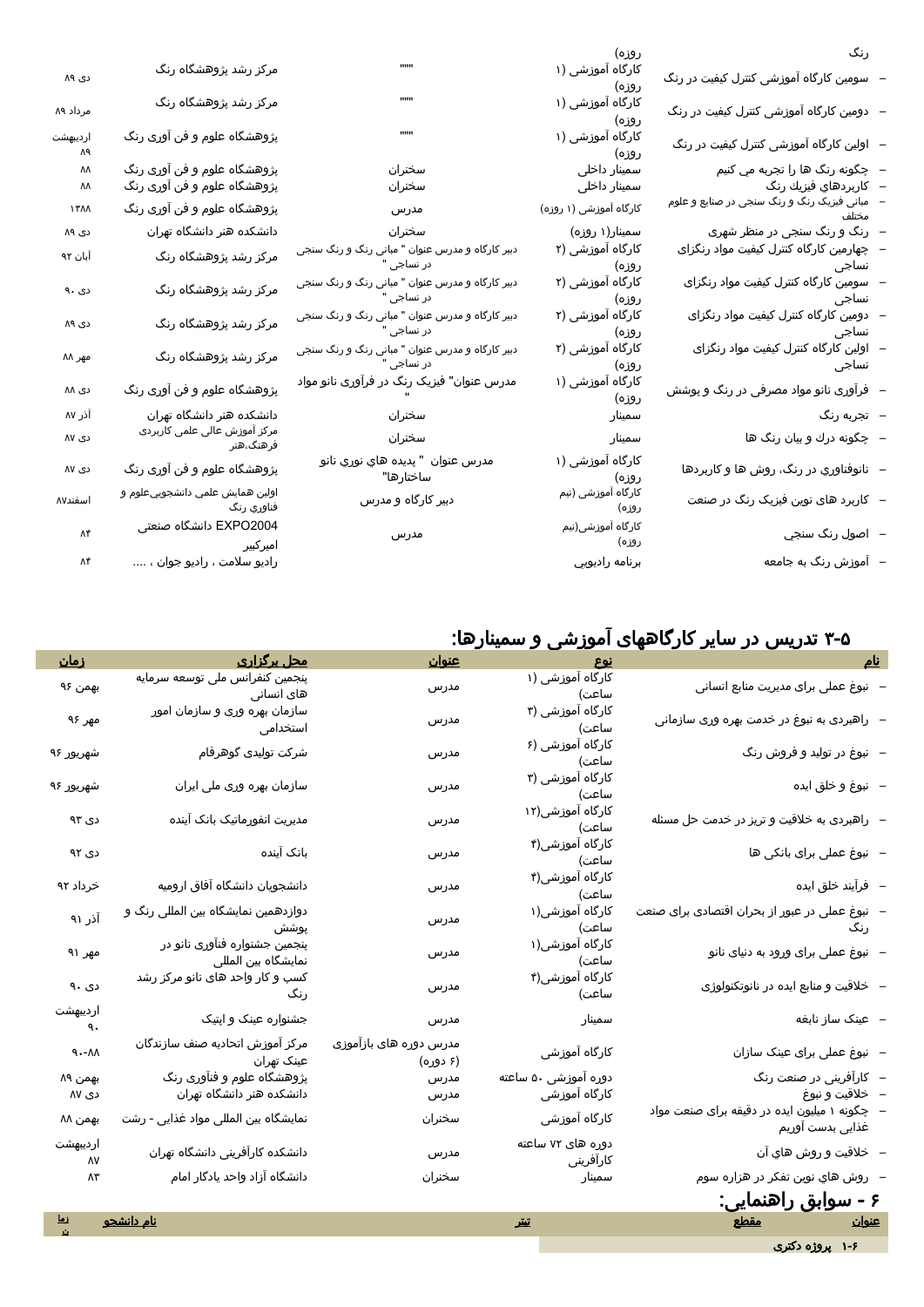| رنگ                                                      | روزه)                       |                                                               |                                                                        |                |
|----------------------------------------------------------|-----------------------------|---------------------------------------------------------------|------------------------------------------------------------------------|----------------|
| سومین کارگاه آموزشی کنترل کیفیت در رنگ                   | کارگاه آموزشی (۱<br>روزه)   | ,,,,,,                                                        | مرکز رشد پژوهشگاه رنگ                                                  | دی ۸۹          |
| -   دومین کارگاه آموزشی کنترل کیفیت در رنگ               | کارگاه آموزشی (۱<br>روزه)   |                                                               | مرکز رشد پژوهشگاه رنگ                                                  | مرداد ۸۹       |
| - اولین کارگاه آموزشی کنترل کیفیت در رنگ                 | کارگاه آموزشی (۱<br>روزه)   | <b>HHH</b>                                                    | پژوهشگاه علوم و فن آوری رنگ                                            | ارديبهشت<br>Λ٩ |
| –   چگونه رنگ ها را تجربه مي کنيم                        | سمینار داخلی                | سخنران                                                        |                                                                        | ٨٨             |
| –   كاربردهاي فيزيك رنگ                                  | سمینار داخلی                | سخنران                                                        | پژوهشگاه علوم و فن آوری رنگ<br>پژوهشگاه علوم و فن آوری رنگ             | ΛΛ             |
| ۔<br>مبانی فیزیک رنگ و رنگ سنجی در صنایع و علوم<br>مختلف | کارگاه آموزشی (۱ روزه)      | مدرس                                                          | پژوهشگاه علوم و فن آوری رنگ                                            | ۱۳۸۸           |
| –   رنگ و رنگ سنجی در منظر شهری                          | سمینار(۱ روزه)              | سخنران                                                        | دانشکده هنر دانشگاه تهران                                              | دی ۸۹          |
| چهارمین کارگاه کنترل کیفیت مواد رنگزای<br>نساجى          | کارگاه آموزشی (۲<br>روزه)   | دبیر کارگاه و مدرس عنوان " مبانی رنگ و رنگ سنجی<br>در نساجی " | مرکز رشد پژوهشگاه رنگ                                                  | آبان ۹۲        |
| سومین کارگاه کنترل کیفیت مواد رنگزای<br>نساجى            | کارگاه آموزشی (۲<br>روزه)   | دبیر کارگاه و مدرس عنوان " مبانی رنگ و رنگ سنجی<br>در نساجی " | مرکز رشد پژوهشگاه رنگ                                                  | دی ۹۰          |
| دومین کارگاه کنترل کیفیت مواد رنگزای<br>نساجى            | کارگاه آموزشی (۲<br>روزه)   | دبیر کارگاه و مدرس عنوان " مبانی رنگ و رنگ سنجی<br>در نساجی " | مرکز رشد پژوهشگاه رنگ                                                  | دی ۸۹          |
| اولین کارگاه کنترل کیفیت مواد رنگزای<br>نساجى            | کارگاه آموزشی (۲<br>روزه)   | دبیر کارگاه و مدرس عنوان " مبانی رنگ و رنگ سنجی<br>در نساجی " | مرکز رشد پژوهشگاه رنگ                                                  | مهر ۸۸         |
| فرآوری نانو مواد مصرفی در رنگ و پوشش                     | کارگاه آموزشی (۱<br>روزه)   | مدرس عنوان" فیزیک رنگ در فرآوری نانو مواد                     | پژوهشگاه علوم و فن آوری رنگ                                            | دی ۸۸          |
| –  تجربه رنگ                                             | سمينار                      | سخنران                                                        |                                                                        | آذر ۸۷         |
| –   چگونه درك و بيان رنگ ها                              | سمينار                      | سخنران                                                        | دانشکده هنر دانشگاه تهران<br>مرکز آموزش عالی علمی کاربردی<br>فرهنگ،هنر | دی ۸۷          |
| نانوفناوري در رنگ، روش ها و کاربردها                     | کارگاه آموزشی (۱<br>روزه)   | مدرس عنوان  " پديده هاي نوري نانو<br>ساختارها"                | پژوهشگاه علوم و فن آوری رنگ                                            | دی ۸۷          |
| – کاربرد های نوین فیزیک رنگ در صنعت                      | کارگاه آموزشی (نیم<br>روزه) | دبیر کارگاه و مدرس                                            | اولين همايش علمي دانشجوييعلوم و<br>فناوري رنگ                          | اسفند٨٧        |
| –   اصول رنگ سنجي                                        | کارگاه آموزشی(نیم<br>روزه)  | مدرس                                                          | EXPO2004 دانشگاه صنعتی<br>امیرکبیر                                     | ۸۴             |
| – آموزش رنگ به جامعه                                     | برنامه راديويي              |                                                               | راديو سلامت ، راديو جوان ،                                             | Λ۴             |
|                                                          |                             |                                                               |                                                                        |                |

# 1-8 تدريس در سایر کارگاههای آموزشی و سمینارها:

| <u>زمان</u>         | <u>محل برگزاری</u>                                   | <u>عنوان</u>                       | <u>نوع</u>                     |                                                                     |  |  |
|---------------------|------------------------------------------------------|------------------------------------|--------------------------------|---------------------------------------------------------------------|--|--|
| بهمن ۹۶             | پنجمین کنفرانس ملی توسعه سرمایه<br>های انسانی        | مدرس                               | کارگاه آموزشی (۱<br>ساعت)      | – نبوغ عملی برای مدیریت منابع انسانی                                |  |  |
| مهر ۹۶              | سازمان بهره وری و سازمان امور<br>استخدامى            | مدرس                               | کارگاه آموزشی (۳<br>ساعت)      | –  راهبردی به نبوغ در خدمت بهره وری سازمانی                         |  |  |
| شهريور ۹۶           | شرکت تولیدی گوهرفام                                  | مدرس                               | کارگاه آموزشی (۶<br>ساعت)      | – نبوغ در تولید و فروش رنگ                                          |  |  |
| شهريور ۹۶           | سازمان بهره وری ملی ایران                            | مدرس                               | کارگاه آموزشی (۳<br>ساعت)      | –   نبوغ و خلق ایده                                                 |  |  |
| دی ۹۳               | مدیریت انفورماتیک بانک آینده                         | مدرس                               | کارگاه آموزشی(۱۲<br>ساعت)      | -  راهبردی به خلاقیت و تریز در خدمت حل مسئله                        |  |  |
| دی ۹۲               | بانک آینده                                           | مدرس                               | کارگاه آموزشی(۴<br>ساعت)       | – نبوغ عملی برای بانکی ها                                           |  |  |
| خرداد ۹۲            | دانشجویان دانشگاه آفاق ارومیه                        | مدرس                               | کارگاه آموزشی(۴<br>ساعت)       | – فرآیند خلق ایده                                                   |  |  |
| آذر ۹۱              | دوازدهمین نمایشگاه بین المللی رنگ و<br>پوشش          | مدرس                               | کارگاه آموزشی(۱<br>ساعت)       | نبوغ عملی در عبور از بحران اقتصادی برای صنعت<br>رنگ                 |  |  |
| مهر ۹۱              | پنجمین جشنواره فنآوری نانو در<br>نمایشگاه بین المللی | مدرس                               | کارگاه آموزشی(۱<br>ساعت)       | – نبوغ عملی برای ورود به دنیای نانو                                 |  |  |
| دی ۹۰               | کسب و کار واحد های نانو مرکز رشد<br>رنگ              | مدرس                               | کارگاه آموزشی(۴<br>ساعت)       | –   خلاقیت و منابع ایده در نانوتکنولوژی                             |  |  |
| ارديبهشت<br>٩.      | جشنواره عینک و اپتیک                                 | مدرس                               | سمينار                         | – عینک ساز نابغه                                                    |  |  |
| $9 - M$             | مركز آموزش اتحاديه صنف سازندگان<br>عینک تهران        | مدرس دوره های بازآموزی<br>(۶ دوره) | کارگاه آموزشی                  | – نبوغ عملی برای عینک سازان                                         |  |  |
| بهمن ۸۹             | پژوهشگاه علوم و فنآوری رنگ                           | مدرس                               | دوره آموزشی ۵۰ ساعته           | – کارآفرینی در صنعت رنگ                                             |  |  |
| دی ۸۷               | دانشکده هنر دانشگاه تهران                            | مدرس                               | کارگاه آموزشی                  | – خلاقيت و نبوغ                                                     |  |  |
| بهمن ۸۸             | نمایشگاه بین المللی مواد غذایی - رشت                 | سخنران                             | کارگاه آموزشی                  | –   چگونه ۱ میلیون ایده در دقیقه برای صنعت مواد<br>غذایی بدست آوریم |  |  |
| ارديبهشت<br>٨V      | دانشکده کارآفرینی دانشگاه تهران                      | مدرس                               | دوره های ۷۲ ساعته<br>كارافرينى | – خلاقيت و روش هاي آن                                               |  |  |
| Λ٣                  | دانشگاه آزاد واحد یادگار امام                        | سخنران                             | سمينار                         | -   روش هاي نوين تفكر در هزاره سوم                                  |  |  |
| ۶ - سوابق راهنمایی: |                                                      |                                    |                                |                                                                     |  |  |
| <u>زما</u>          | <u>نام دانشجو</u>                                    |                                    | تىتر                           | <u>عنوان</u> مقطع                                                   |  |  |
|                     |                                                      |                                    |                                | ۱-۶ پروژه دکتری                                                     |  |  |
|                     |                                                      |                                    |                                |                                                                     |  |  |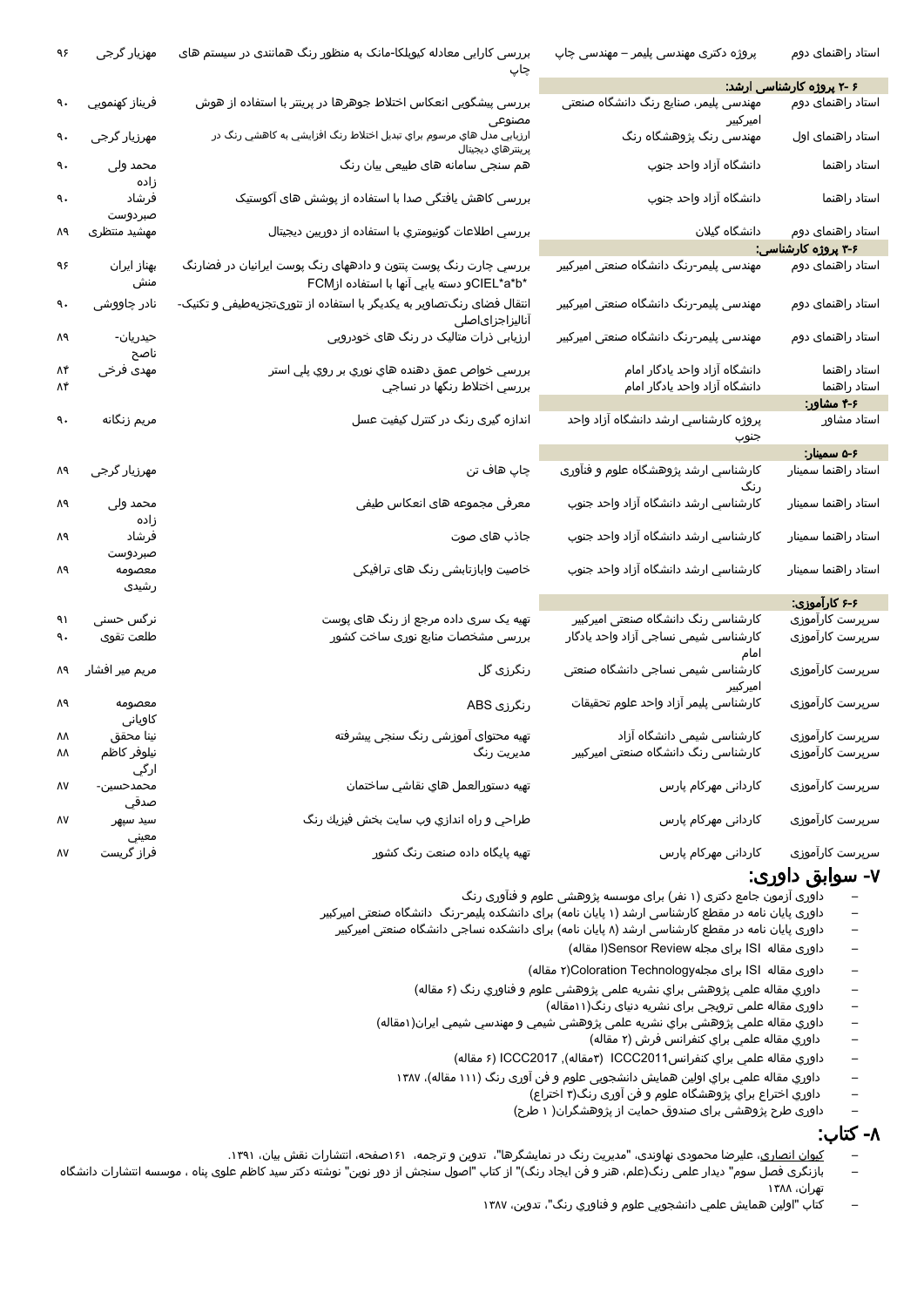| ۹۶       | مهزیار گرجی             | بررسی کارایی معادله کیوبلکا-مانک به منظور رنگ همانندی در سیستم های<br>چاپ                                     | پروژه دکتری مهندسی پلیمر – مهندسی چاپ                                       | استاد راهنمای دوم                  |
|----------|-------------------------|---------------------------------------------------------------------------------------------------------------|-----------------------------------------------------------------------------|------------------------------------|
|          |                         |                                                                                                               |                                                                             | ۶ -۲ پروژه کارشناسی ارشد:          |
| ٩.       | فريناز كهنمويي          | بررسی پیشگویی انعکاس اختلاط جوهرها در پرینتر با استفاده از هوش<br>مصنوعى                                      | ۔<br>مهندسی پلیمر، صنایع رنگ دانشگاه صنعتی<br>امىركبىر                      | استاد راهنمای دوم                  |
| ٩.       | مهرزیار گرجی            | ارزيابي مدل هاي مرسوم براي تبديل اختلاط رنگ افزايشي به كاهشي رنگ در<br>پرينترهاي ديجيتال                      | مهندسی رنگ پژوهشگاه رنگ                                                     | استاد راهنمای اول                  |
| ٩.       | محمد ولی<br>زاده        | هم سنجی سامانه های طبیعی بیان رنگ                                                                             | دانشگاه آزاد واحد جنوب                                                      | استاد راهنما                       |
| ٩.       | فرشاد                   | بررسی کاهش یافتگی صدا با استفاده از پوشش های آکوستیک                                                          | دانشگاه آزاد واحد جنوب                                                      | استاد راهنما                       |
| ٨٩       | صبردوست<br>مهشيد منتظرى | بررسي اطلاعات گونيومتري با استفاده از دوربين ديجيتال                                                          | دانشگاه گیلان                                                               | استاد راهنمای دوم                  |
|          |                         |                                                                                                               |                                                                             | ۳-۶ پروژه کارشناسی:                |
| ۹۶       | بهناز ایران<br>منش      | بررسي چارت رنگ پوست پنتون و دادههای رنگ پوست ايرانيان در فضارنگ<br>*CIEL*a*bو دسته يابي آنها با استفاده ازFCM | مهندسی پلیمر-رنگ دانشگاه صنعتی امیرکبیر                                     | استاد راهنمای دوم                  |
| ٩.       | نادر چاووشی             | انتقال فضای رنگتصاویر به یکدیگر با استفاده از تئوریتجزیهطیفی و تکنیک-                                         | مهندسی پلیمر-رنگ دانشگاه صنعتی امیرکبیر                                     | استاد راهنمای دوم                  |
| Λ٩       | حيدريان-                | اناليزاجزاىاصلى<br>ارزیابی ذرات متالیک در رنگ های خودرویی                                                     | مهندسی پلیمر-رنگ دانشگاه صنعتی امیرکبیر                                     | استاد راهنمای دوم                  |
| ۸۴       | ناصح<br>مهدی فرخی       | بررسي خواص عمق دهنده هاي نوري بر روي پلي استر                                                                 |                                                                             | استاد راهنما                       |
| ۸۴       |                         | بررسي اختلاط رنگها در نساجي                                                                                   | دانشگاه آزاد واحد یادگار امام<br>دانشگاه آزاد واحد یادگار امام              | استاد راهنما                       |
|          |                         |                                                                                                               |                                                                             | ۴-۶ مشاور:                         |
| ٩.       | مريم زنگانه             | اندازه گیری رنگ در کنترل کیفیت عسل                                                                            | پروژه کارشناسي ارشد دانشگاه آزاد واحد                                       | استاد مشاور                        |
|          |                         |                                                                                                               | جنوب                                                                        |                                    |
|          |                         |                                                                                                               |                                                                             | ۰۶ه سمینار:                        |
| Λ٩       | مهرزیار گرجی            | چاپ هاف تن                                                                                                    | کارشناسي ارشد پژوهشگاه علوم و فنآوری<br>رنگ                                 | استاد راهنما سمينار                |
| Λ٩       | محمد ولی<br>زاده        | معرفی مجموعه های انعکاس طیفی                                                                                  | کارشناسي ارشد دانشگاه آزاد واحد جنوب                                        | استاد راهنما سمينار                |
| Λ٩       | فرشاد<br>صبردوست        | جاذب های صوت                                                                                                  | کارشناسي ارشد دانشگاه آزاد واحد جنوب                                        | استاد راهنما سمينار                |
| Λ٩       | معصومه<br>رشیدی         | خاصیت وابازتابشی رنگ های ترافیکی                                                                              | کارشناسي ارشد دانشگاه آزاد واحد جنوب                                        | استاد راهنما سمينار                |
|          |                         |                                                                                                               |                                                                             | ۶-۶ کارآموزی:                      |
|          |                         |                                                                                                               |                                                                             |                                    |
| ۹۱<br>۹. | نرگس حسنی<br>طلعت تقوى  | تهیه یک سری داده مرجع از رنگ های پوست<br>بررسی مشخصات منابع نوری ساخت کشور                                    | کارشناسی رنگ دانشگاه صنعتی امیرکبیر<br>کارشناسی شیمی نساجی آزاد واحد یادگار | سرپرست کارآموزی<br>سرپرست کارآموزی |
| Λ٩       | مریم میر افشار          | رنگرزی گل                                                                                                     | امام<br>کارشناسی شیمی نساجی دانشگاه صنعتی                                   | سرپرست کارآموزی                    |
| Λ٩       | معصومه                  | رنگرزی ABS                                                                                                    | امىركبىر<br>كارشناسى پليمر آزاد واحد علوم تحقيقات                           | سرپرست کارآموزی                    |
|          | کاویانی                 |                                                                                                               |                                                                             |                                    |
| ۸۸       | نينا محقق               | تهیه محتوای آموزشی رنگ سنجی پیشرفته                                                                           | کارشناسی شیمی دانشگاه آزاد                                                  | سرپرست کارآموزی                    |
| ۸۸       | نيلوفر كاظم<br>ارگي     | مدیریت رنگ                                                                                                    | کارشناسی رنگ دانشگاه صنعتی امیرکبیر                                         | سرپرست کارآموزی                    |
| ٨٧       | محمدحسين-<br>صدقي       | تهيه دستورالعمل هاي نقاشي ساختمان                                                                             | کاردانی مهرکام پارس                                                         | سرپرست کارآموزی                    |
| ٨٧       | سيد سيهر                | طراحي و راه اندازي وب سايت بخش فيزيك رنگ                                                                      | کاردانی مهرکام پارس                                                         | سرپرست کارآموزی                    |
| ٨٧       | معيني<br>فراز گریست     | تهیه پایگاه داده صنعت رنگ کشور                                                                                | کاردانی مهرکام پارس                                                         | سرپرست کارآموزی                    |

#### -1 سوابق داوری:

- داوری آزمون جامع دکتری )1 نفر( برای موسسه پژوهشی علوم و فنآوری رنگ
- داوری پایان نامه در مقطع کارشناسی ارشد (۱ پایان نامه) برای دانشکده پلیمر-رنگ دانشگاه صنعتی امیرکبیر
- داوری پایان نامه در مقطع کارشناسی ارشد )5 پایان نامه( برای دانشکده نساجی دانشگاه صنعتی امیرکبیر
	- داوری مقاله ISI برای مجله Review Sensor(ا مقاله(
	- داوری مقاله ISI برای مجلهTechnology Coloration(2 مقاله(
	- داوري مقاله علمي پژوهشی براي نشريه علمی پژوهشی علوم و فناوري رنگ )1 مقاله(
		- داوری مقاله علمی ترویجی برای نشریه دنیای رنگ)11مقاله(
	- داوري مقاله علمي پژوهشی براي نشريه علمی پژوهشی شيمي و مهندسي شيمي ايران)1مقاله(
		- داوري مقاله علمي براي کنفرانس فرش )2 مقاله(
		- داوري مقاله علمي براي کنفرانس2011ICCC( 1مقاله(, 2017ICCC( 1 مقاله(
		- داوري مقاله علمي براي اولین همایش دانشجویی علوم و فن آوری رنگ )111 مقاله(، 1151
			- داوري اختراع براي پژوهشگاه علوم و فن آوری رنگ)1 اختراع(
			- داوری طرح پژوهشی برای صندوق حمایت از پژوهشگران) 1 طرح(

## -5 کتاب:

- <u>کیوان انصاری</u>، علیرضا محمودی نهاوندی، "مدیریت رنگ در نمایشگرها"، تدوین و ترجمه، ۱۲۹۱صفحه، انتشارات نقش بیان، ۱۳۹۱.
- بازنگری فصل سوم" دیدار علمی رنگ)علم، هنر و فن ایجاد رنگ(" از کتاب "اصول سنجش از دور نوین" نوشته دکتر سید کاظم علوی پناه ، موسسه انتشارات دانشگاه تهران، 1155
	- كتاب "اولين همايش علمي دانشجويي علوم و فناوري رنگ"، تدوین، 1151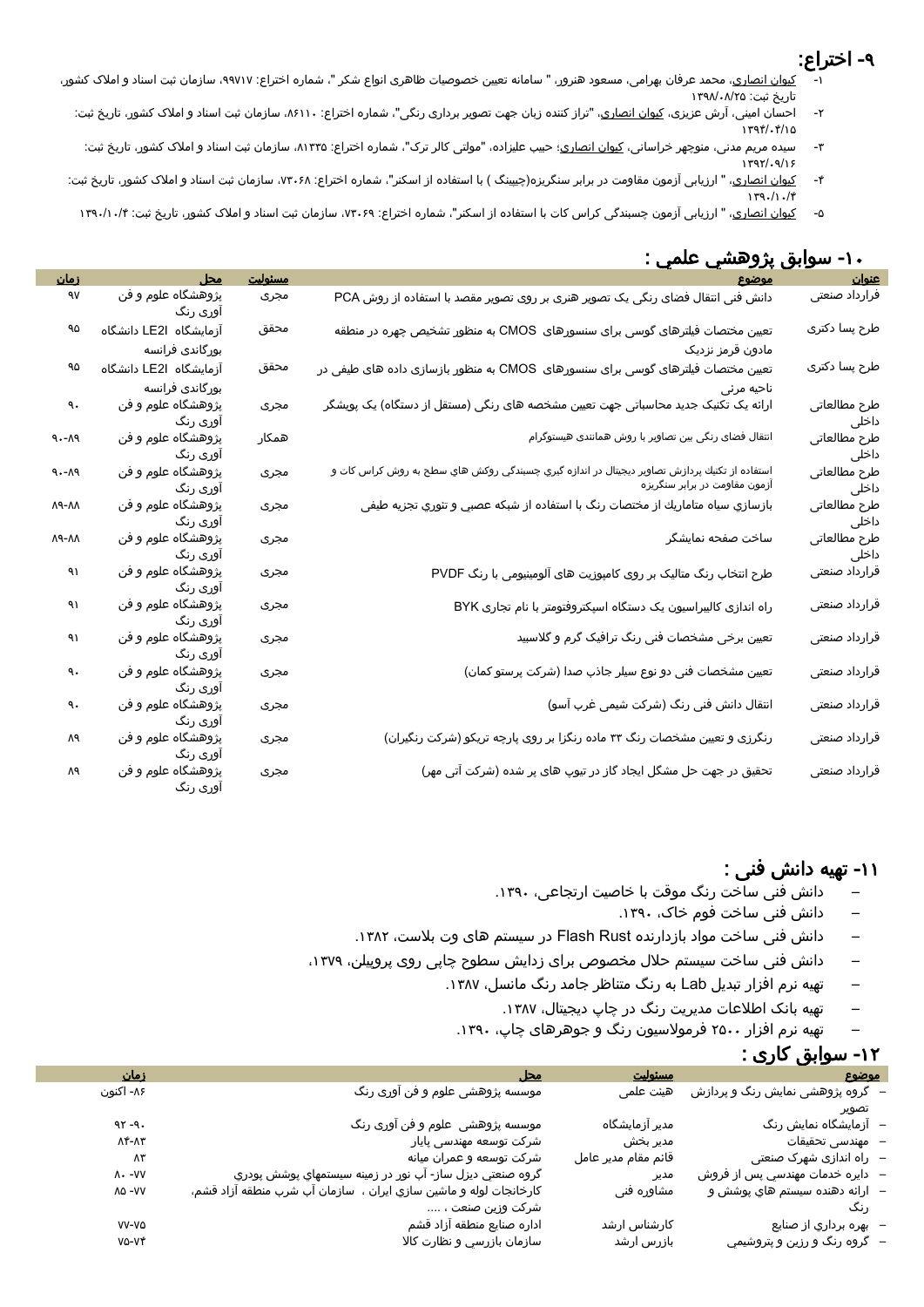### -2 اختراع:

- -<br><u>کیوان انصاری</u>، محمد عرفان بهرامی، مسعود هنرور، " سامانه تعیین خصوصیات ظاهری انواع شکر "، شماره اختراع: ۹۹۷۱۷، سازمان شب اسناد و املاک کشور، تاریخ ثبت: ۱۳۹۸/۰۸/۲۵
	- -2 احسان امینی، آرش عزیزی، کیوان انصاری، "تراز کننده زبان جهت تصویر برداری رنگی"، شماره اختراع: ،51113 سازمان ثبت اسناد و امالک کشور، تاریخ ثبت:  $1797.7/10$
	- ۳- سیده مریم مدنی، منوچهر خراسانی، <u>کیوان انصاری</u>؛ حبیب علیزاده، "مولتی کالر ترک"، شماره اختراع: ۱۳۳۵، سازمان ثبت اسناد و املاک کشور، تاریخ ثبت:  $1797/9/15$
- ۴- کی<u>وان انصاری</u>، " ارزیابی آزمون مقاومت در برابر سنگریزه(چیپینگ ) با استفاده از اسکنر"، شماره اختراع: ۷۳۰۶۸، سازمان ثبت اسناد و املاک کشور، تاریخ ثبت:  $179.11.7$ 
	- ۵- ک<u>یوان انصاری</u>، " ارزیابی آزمون چسبندگی کراس کات با استفاده از اسکنر"، شماره اختراع: ۷۳۰۶۹، سازمان ثبت اسناد و املاک کشور، تاریخ ثبت: ۱۳۹۰/۱۰/۴

| $\mathbf{r}$                        | سوببق پررسي مسي .                                                                                                             |         |                                |                                  |
|-------------------------------------|-------------------------------------------------------------------------------------------------------------------------------|---------|--------------------------------|----------------------------------|
|                                     | موضود                                                                                                                         | مسئوليت | <u>محل</u>                     | <u>زمان</u>                      |
| <mark>عنوان</mark><br>فرارداد صنعتی | دانش فنی انتقال فضای رنگی یک تصویر هنری بر روی تصویر مقصد با استفاده از روش PCA                                               | مجرى    | پژوهشگاه علوم و فن<br>آوری رنگ | ٩V                               |
| طرح پسا دکتری                       | تعیین مختصات فیلترهای گوسی برای سنسورهای  CMOS به منظور تشخیص چهره در منطقه                                                   | محقق    | آزمایشگاه LE2I دانشگاه         | ٩۵                               |
|                                     | مادون قرمز نزدیک                                                                                                              |         | بورگاندی فرانسه                |                                  |
| طرح پسا دکتری                       | تعیین مختصات فیلترهای گوسی برای سنسورهای  CMOS به منظور بازسازی داده های طیفی در                                              | محقق    | آزمایشگاه LE2I دانشگاه         | ٩۵                               |
|                                     | ناحیه مرئی                                                                                                                    |         | بورگاندی فرانسه                |                                  |
| طرح مطالعاتى<br>داخلی               | ارائه یک تکنیک جدید محاسباتی جهت تعیین مشخصه های رنگی (مستقل از دستگاه) یک پویشگر                                             | مجرى    | پژوهشگاه علوم و فن<br>اوری رنگ | ٩.                               |
| طرح مطالعاتى<br>داخلی               | انتقال فضای رنگی بین تصاویر با روش همانندی هیستوگرام                                                                          | همكار   | پژوهشگاه علوم و فن<br>اوری رنگ | $9 - A9$                         |
| طرح مطالعاتى<br>داخلی               | استفاده از تکنيك پردازش تصاوير ديجيتال در اندازه گيري چسبندگي روکش هاي سطح به روش کراس کات و<br>آزمون مقاومت در برابر سنگریزه | مجرى    | پژوهشگاه علوم و فن<br>اوری رنگ | $\rho$<br><br>A – $\cdot$ $\rho$ |
| طرح مطالعاتى<br>داخلی               | بازسازي سياه متاماريك از مختصات رنگ با استفاده از شبكه عصبي و تئوري تجزيه طيفى                                                | مجرى    | پژوهشگاه علوم و فن<br>اوری رنگ | ۸۸-۸۸                            |
| طرح مطالعاتى<br>داخلی               | ساخت صفحه نمايشگر                                                                                                             | مجرى    | پژوهشگاه علوم و فن<br>آوری رنگ | ۸۸-۸۸                            |
| قرارداد صنعتى                       | طرح انتخاب رنگ متالیک بر روی کامپوزیت های آلومینیومی با رنگ PVDF                                                              | مجرى    | پژوهشگاه علوم و فن<br>اوری رنگ | ۹۱                               |
| قرارداد صنعتى                       | راه اندازی کالیبراسیون یک دستگاه اسپکتروفتومتر با نام تجاری BYK                                                               | مجرى    | پژوهشگاه علوم و فن<br>اوری رنگ | ۹۱                               |
| قرارداد صنعتى                       | تعیین برخی مشخصات فنی رنگ ترافیک گرم و گلاسبید                                                                                | مجرى    | پژوهشگاه علوم و فن<br>اوری رنگ | ۹۱                               |
| قرارداد صنعتى                       | تعیین مشخصات فنی دو نوع سیلر جاذب صدا (شرکت پرستو کمان)                                                                       | مجرى    | پژوهشگاه علوم و فن<br>اوری رنگ | ٩.                               |
| قرارداد صنعتى                       | انتقال دانش فنی رنگ (شرکت شیمی غرب آسو)                                                                                       | مجرى    | پژوهشگاه علوم و فن<br>آوری رنگ | ٩.                               |
| قرارداد صنعتى                       | رنگرزی و تعیین مشخصات رنگ ۳۳ ماده رنگزا بر روی پارچه تریکو (شرکت رنگیران)                                                     | مجرى    | پژوهشگاه علوم و فن<br>اوری رنگ | Λ٩                               |
| قرارداد صنعتى                       | تحقیق در جهت حل مشگل ایجاد گاز در تیوپ های پر شده (شرکت آتی مهر)                                                              | مجرى    | پژوهشگاه علوم و فن<br>آوری رنگ | Λ٩                               |

#### -13 سوابق پژوهشي علمي :

#### -11 تهیه دانش فنی :

- دانش فنی ساخت رنگ موقت با خاصیت ارتجاعی، .1123
	- دانش فنی ساخت فوم خاک، .1123
- دانش فنی ساخت مواد بازدارنده Rust Flash در سیستم های وت بالست، .1152
- دانش فنی ساخت سیستم حالل مخصوص برای زدایش سطوح چاپی روی پروپیلن، ،1112
	- تهیه نرم افزار تبدیل Lab به رنگ متناظر جامد رنگ مانسل، .1151
		- تهیه بانک اطلاعات مدیریت رنگ در چاپ دیجیتال، ۱۳۸۷.
		- تهیه نرم افزار 2833 فرموالسیون رنگ و جوهرهای چاپ، .1123

## -12 سوابق کاری :

| موضوع                            | مسئوليت             | محل                                                                | <u>زمان</u>      |
|----------------------------------|---------------------|--------------------------------------------------------------------|------------------|
| – گروه پژوهشی نمایش رنگ و پردازش | هیئت علمی           | موسسه پژوهشی علوم و فن آوری رنگ                                    | ۸۶- اکنون        |
| تصوير                            |                     |                                                                    |                  |
| –   ازمایشگاه نمایش رنگ          | مدیر آزمایشگاه      | موسسه پژوهشی  علوم و فن آوری رنگ                                   | $97 - 9.$        |
| –   مهندسی تحقیقات               | مدير بخش            | شركت توسعه مهندسى پايار                                            | ۸۴-۸۳            |
| –  راه اندازی شهرک صنعتی         | قائم مقام مدير عامل | شرکت توسعه و عمران میانه                                           | Λ٣               |
| – دايره خدمات مهندسي پس از فروش  | مدير                | گروه صنعتي ديزل ساز- آب نور در زمينه سيستمهاي پوشش پودري           | $\Lambda$ - - VV |
| –   ارائه دهنده سيستم هاي پوشش و | مشاوره فنی          | کارخانجات لوله و ماشین سازي ایران ،  سازمان آب شرب منطقه آزاد قشم، | <b>AQ-VV</b>     |
| ر ئگ                             |                     | شرکت وزین صنعت ،                                                   |                  |
| – بهره برداري از صنايع           | كارشناس ارشد        | اداره صنايع منطقه آزاد قشم                                         | VV-VQ            |
| – گروه رنگ و رزین و پتروشیمي     | بازرس ارشد          | سازمان بازرسي و نظارت كالا                                         | <b>VQ-VÝ</b>     |
|                                  |                     |                                                                    |                  |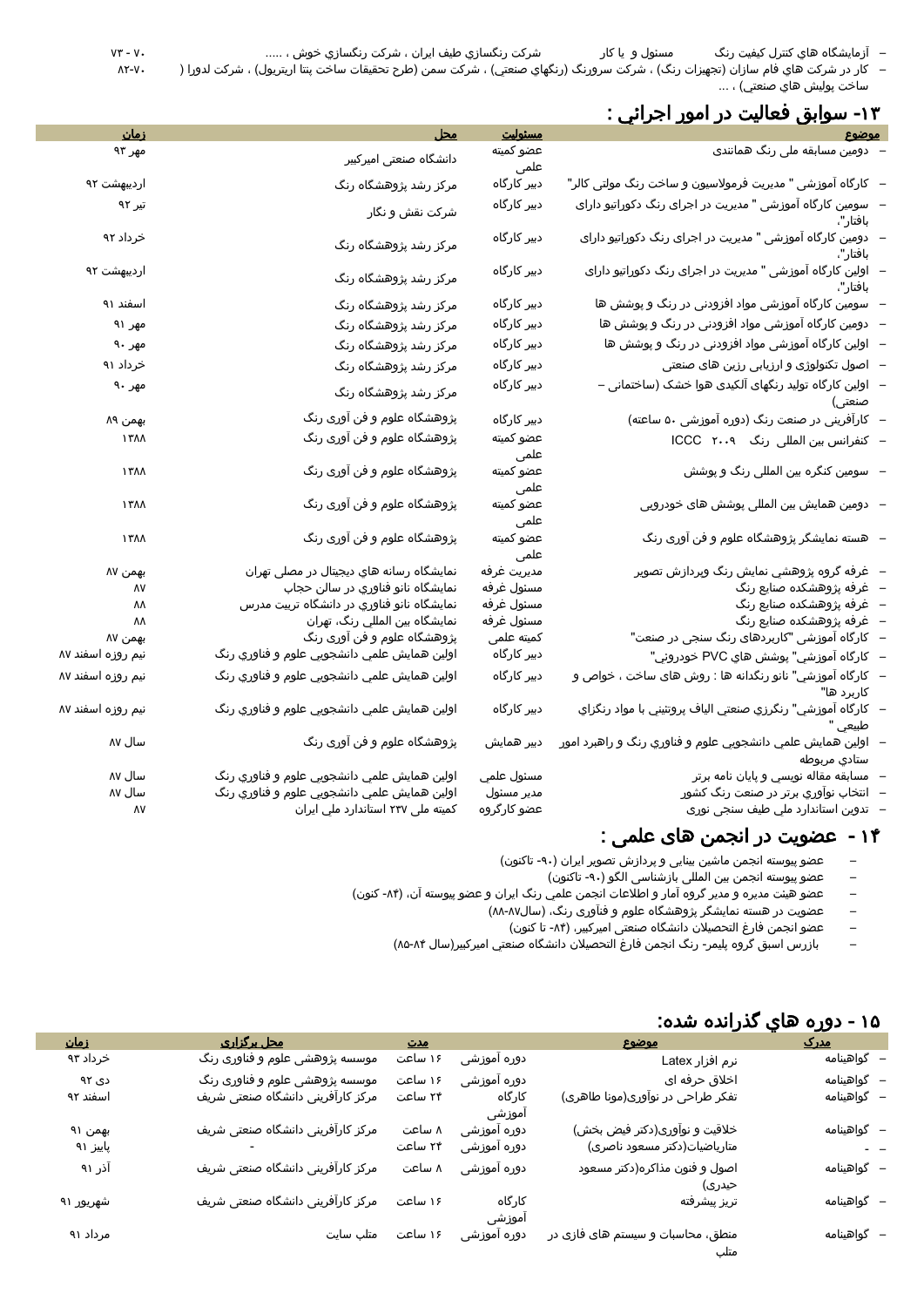– آزمايشگاه هاي كنترل كيفيت رنگ مسئول و يا کار شركت رنگسازي طيف ايران ، شركت رنگسازي خوش ، ..... 13 - 11

– کار در شرکت هاي فام سازان (تجهيزات رنگ) ، شرکت سرورنگ (رنگهاي صنعتي) ، شرکت سمن (طرح تحقيقات ساخت پنتا اريتريول) ، شرکت لدورا ( ساخت پوليش هاي صنعتي) ، ...

### -11 سوابق فعاليت در امور اجرائي :

| <u>زمان</u>       | <u> محل</u>                                 | مسئوليت           | <u>موضوع</u>                                                              |
|-------------------|---------------------------------------------|-------------------|---------------------------------------------------------------------------|
| مهر ۹۳            | دانشگاه صنعتی امیرکبیر                      | عضو كميته         | – دومین مسابقه ملی رنگ همانندی                                            |
|                   |                                             | علمی              |                                                                           |
| اردیبهشت ۹۲       | مرکز رشد پژوهشگاه رنگ                       | دبیر کارگاہ       | -   کارگاه آموزشی " مدیریت فرمولاسیون و ساخت رنگ مولتی کالر"              |
| تیر ۹۲            | شرکت نقش و نگار                             | دبیر کارگاه       | ·   سومین کارگاه آموزشی " مدیریت در اجرای رنگ دکوراتیو دارای<br>بافتار"،  |
| خرداد ۹۲          | مرکز رشد پژوهشگاه رنگ                       | دبیر کارگاه       | دومین کارگاه آموزشی " مدیریت در اجرای رنگ دکوراتیو دارای<br>بافتار"،      |
| اردیبهشت ۹۲       | مرکز رشد پژوهشگاه رنگ                       | دبیر کارگاہ       | بافتار"،                                                                  |
| اسفند ۹۱          | مرکز رشد پژوهشگاه رنگ                       | دبیر کارگاہ       | سومین کارگاه آموزشی مواد افزودنی در رنگ و پوشش ها                         |
| مهر ۹۱            | مرکز رشد پژوهشگاه رنگ                       | دبیر کارگاہ       | دومین کارگاه آموزشی مواد افزودنی در رنگ و پوشش ها                         |
| مهر ۹۰            | مرکز رشد پژوهشگاه رنگ                       | دبیر کارگاہ       | ۰   اولین کارگاه آموزشی مواد افزودنی در رنگ و پوشش ها                     |
| خرداد ۹۱          | مرکز رشد پژوهشگاه رنگ                       | دبیر کارگاه       | –   اصول تکنولوژی و ارزیابی رزین های صنعتی                                |
| مهر ۹۰            | مرکز رشد پژوهشگاه رنگ                       | دبیر کارگاه       | –   اولین کارگاه تولید رنگهای آلکیدی هوا خشک (ساختمانی –<br>صنعتى)        |
| بهمن ۸۹           | پژوهشگاه علوم و فن آوری رنگ                 | دبیر کارگاہ       | – کارآفرینی در صنعت رنگ (دوره آموزشی ۵۰ ساعته)                            |
| ۱۳۸۸              | پژوهشگاه علوم و فن آوری رنگ                 | عضو كميته<br>علمی | – کنفرانس بین المللی رنگ ICCC ۲۰۰۹                                        |
| ۱۳۸۸              | پژوهشگاه علوم و فن آوری رنگ                 | عضو كميته<br>علمی | -   سومین کنگره بین المللی رنگ و پوشش                                     |
| ۱۳۸۸              | پژوهشگاه علوم و فن آوری رنگ                 | عضو كميته<br>علمي | -   دومین همایش بین المللی پوشش های خودرویی                               |
| ۱۳۸۸              | پژوهشگاه علوم و فن آوری رنگ                 | عضو كميته<br>علمی | -   هسته نمایشگر پژوهشگاه علوم و فن آوری رنگ                              |
| بهمن ۸۷           | نمایشگاه رسانه های دیجیتال در مصلی تهران    | مديريت غرفه       | –   غرفه گروه پژوهشي نمايش رنگ وپردازش تصوير                              |
| ٨٧                | نمايشگاه نانو فناوري در سالن حجاب           | مسئول غرفه        | –   غرفه پژوهشکده صنایع رنگ                                               |
| ۸۸                | نمایشگاه نانو فناوري در دانشگاه تربیت مدرس  | مسئول غرفه        | –   غرفه پژوهشکده صنایع رنگ                                               |
| ۸۸                | نمايشگاه بين المللي رنگ، تهران              | مسئول غرفه        | –   غرفه پژوهشکده صنایع رنگ                                               |
| بهمن ۸۷           | پژوهشگاه علوم و فن آوری رنگ                 | كميته علمى        | –   کارگاه آموزشی "کاربردهای رنگ سنجی در صنعت"                            |
| نیم روزه اسفند ۸۷ | اولين همايش علمي دانشجويي علوم و فناوري رنگ | دبیر کارگاہ       | –   کارگاه آموزشي" پوشش هاي PVC خودروئي"                                  |
| نیم روزه اسفند ۸۷ | اولين همايش علمي دانشجويي علوم و فناوري رنگ | دبیر کارگاہ       | –   کارگاه آموزشي" نانو رنگدانه ها : روش های ساخت ، خواص و<br>کاربرد ها"  |
| نیم روزه اسفند ۸۷ | اولين همايش علمي دانشجويي علوم و فناوري رنگ | دبیر کارگاہ       | –   كارگاه آموزشي" رنگرزي صنعتي الياف پروتئيني با مواد رنگزاي<br>طبيعي    |
| سال ۸۷            | پژوهشگاه علوم و فن آوری رنگ                 | دبیر همایش        | اولين همايش علمي دانشجويي علوم و فناوري رنگ و راهبرد امور<br>ستادي مربوطه |
| سال ۸۷            | اولين همايش علمي دانشجويي علوم و فناوري رنگ | مسئول علمي        | مسابقه مقاله نويسي و پايان نامه برتر                                      |
| سال ۸۷            | اولين همايش علمي دانشجويي علوم و فناوري رنگ | مدير مسئول        | انتخاب نواوري برتر در صنعت رنگ کشور                                       |
| ٨٧                | کمیته ملی ۲۳۷ استاندارد ملي ایران           | عضو کارگروہ       | تدوين استاندارد ملي طيف سنجى نورى                                         |

#### 13 - عضويت در انجمن های علمی :

- عضو پیوسته انجمن ماشین بینایی و پردازش تصویر ایران (۹۰- تاکنون)<br>– عضو پیوسته انجمن بین المللی بازشناسی الگو (۹۰- تاکنون)
	- عضو پيوسته انجمن بين المللی بازشناسی الگو (٩٠- تاکنون)
- عضو هيئت مديره و مدير گروه آمار و اطالعات انجمن علمي رنگ ايران و عضو پیوسته آن، )-53 کنون(
	- عضویت در هسته نمایشگر پژوهشگاه علوم و فنآوری رنگ، (سال۸۷-۸۸)
		- عضو انجمن فارغ التحصیلات دانشگاه صنعتی امیرکبیر، (۸۴- تا کنون)
	- بازرس اسبق گروه پليمر- رنگ انجمن فارغ التحصيالن دانشگاه صنعتي اميركبير)سال 58-53(

### 18 - دوره هاي گذرانده شده:

| <u>زمان</u> | <u>محل برگزاری</u>                | <u>مدت</u> |             | موضوع                             | <u>مدرک</u> |
|-------------|-----------------------------------|------------|-------------|-----------------------------------|-------------|
| خرداد ۹۳    | موسسه پژوهشی علوم و فناوری رنگ    | ۱۶ ساعت    | دوره آموزشی | نرم افزار Latex                   | – گواهینامه |
| دی ۹۲       | موسسه پژوهشی علوم و فناوری رنگ    | ۱۶ ساعت    | دوره آموزشی | اخلاق حرفه ای                     | – گواهینامه |
| اسفند ۹۲    | مرکز کارآفرینی دانشگاه صنعتی شریف | ۲۴ ساعت    | کارگاہ      | تفکر طراحی در نوآوری(مونا طاهری)  | – گواهینامه |
|             |                                   |            | اموزشى      |                                   |             |
| بهمن ۹۱     | مرکز کارآفرینی دانشگاه صنعتی شریف | ۸ ساعت     | دوره اموزشی | خلاقیت و نوآوری(دکتر فیض بخش)     | – گواهینامه |
| پاییز ۹۱    |                                   | ۲۴ ساعت    | دوره آموزشی | متاریاضیات(دکتر مسعود ناصری)      | $ -$        |
| آذر ۹۱      | مرکز کارآفرینی دانشگاه صنعتی شریف | ۸ ساعت     | دوره آموزشی | اصول و فنون مذاکره(دکتر مسعود     | – گواهینامه |
|             |                                   |            |             | حیدری)                            |             |
| شهريور ۹۱   | مرکز کارآفرینی دانشگاه صنعتی شریف | ۱۶ ساعت    | کارگاہ      | تريز پيشرفته                      | – گواهینامه |
|             |                                   |            | اموزشى      |                                   |             |
| مرداد ۹۱    | ۱۶ ساعت متلب سایت                 |            | دوره اموزشی | منطق، محاسبات و سیستم های فازی در | – گواهینامه |
|             |                                   |            |             | متلب                              |             |

 $\Lambda$ Y-V $\cdot$